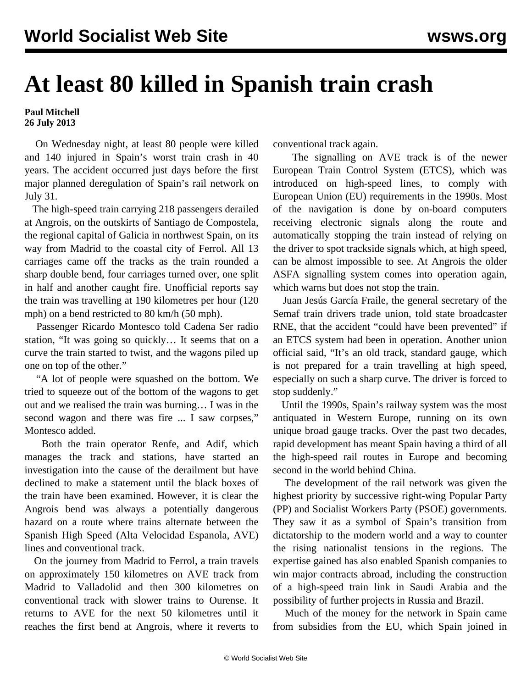## **At least 80 killed in Spanish train crash**

## **Paul Mitchell 26 July 2013**

 On Wednesday night, at least 80 people were killed and 140 injured in Spain's worst train crash in 40 years. The accident occurred just days before the first major planned deregulation of Spain's rail network on July 31.

 The high-speed train carrying 218 passengers derailed at Angrois, on the outskirts of Santiago de Compostela, the regional capital of Galicia in northwest Spain, on its way from Madrid to the coastal city of Ferrol. All 13 carriages came off the tracks as the train rounded a sharp double bend, four carriages turned over, one split in half and another caught fire. Unofficial reports say the train was travelling at 190 kilometres per hour (120 mph) on a bend restricted to 80 km/h (50 mph).

 Passenger Ricardo Montesco told Cadena Ser radio station, "It was going so quickly… It seems that on a curve the train started to twist, and the wagons piled up one on top of the other."

 "A lot of people were squashed on the bottom. We tried to squeeze out of the bottom of the wagons to get out and we realised the train was burning… I was in the second wagon and there was fire ... I saw corpses," Montesco added.

 Both the train operator Renfe, and Adif, which manages the track and stations, have started an investigation into the cause of the derailment but have declined to make a statement until the black boxes of the train have been examined. However, it is clear the Angrois bend was always a potentially dangerous hazard on a route where trains alternate between the Spanish High Speed (Alta Velocidad Espanola, AVE) lines and conventional track.

 On the journey from Madrid to Ferrol, a train travels on approximately 150 kilometres on AVE track from Madrid to Valladolid and then 300 kilometres on conventional track with slower trains to Ourense. It returns to AVE for the next 50 kilometres until it reaches the first bend at Angrois, where it reverts to

conventional track again.

 The signalling on AVE track is of the newer European Train Control System (ETCS), which was introduced on high-speed lines, to comply with European Union (EU) requirements in the 1990s. Most of the navigation is done by on-board computers receiving electronic signals along the route and automatically stopping the train instead of relying on the driver to spot trackside signals which, at high speed, can be almost impossible to see. At Angrois the older ASFA signalling system comes into operation again, which warns but does not stop the train.

 Juan Jesús García Fraile, the general secretary of the Semaf train drivers trade union, told state broadcaster RNE, that the accident "could have been prevented" if an ETCS system had been in operation. Another union official said, "It's an old track, standard gauge, which is not prepared for a train travelling at high speed, especially on such a sharp curve. The driver is forced to stop suddenly."

 Until the 1990s, Spain's railway system was the most antiquated in Western Europe, running on its own unique broad gauge tracks. Over the past two decades, rapid development has meant Spain having a third of all the high-speed rail routes in Europe and becoming second in the world behind China.

 The development of the rail network was given the highest priority by successive right-wing Popular Party (PP) and Socialist Workers Party (PSOE) governments. They saw it as a symbol of Spain's transition from dictatorship to the modern world and a way to counter the rising nationalist tensions in the regions. The expertise gained has also enabled Spanish companies to win major contracts abroad, including the construction of a high-speed train link in Saudi Arabia and the possibility of further projects in Russia and Brazil.

 Much of the money for the network in Spain came from subsidies from the EU, which Spain joined in